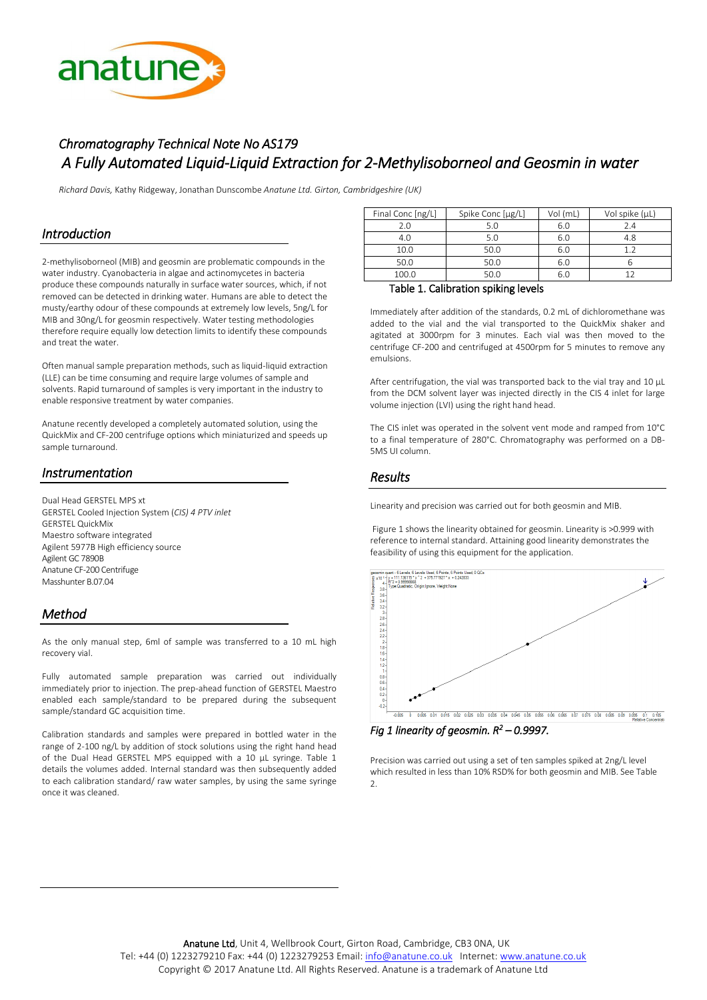

# *Chromatography Technical Note No AS179 A Fully Automated Liquid-Liquid Extraction for 2-Methylisoborneol and Geosmin in water*

*Richard Davis,* Kathy Ridgeway, Jonathan Dunscombe *Anatune Ltd. Girton, Cambridgeshire (UK)*

### *Introduction*

2-methylisoborneol (MIB) and geosmin are problematic compounds in the water industry. Cyanobacteria in algae and actinomycetes in bacteria produce these compounds naturally in surface water sources, which, if not removed can be detected in drinking water. Humans are able to detect the musty/earthy odour of these compounds at extremely low levels, 5ng/L for MIB and 30ng/L for geosmin respectively. Water testing methodologies therefore require equally low detection limits to identify these compounds and treat the water.

Often manual sample preparation methods, such as liquid-liquid extraction (LLE) can be time consuming and require large volumes of sample and solvents. Rapid turnaround of samples is very important in the industry to enable responsive treatment by water companies.

Anatune recently developed a completely automated solution, using the QuickMix and CF-200 centrifuge options which miniaturized and speeds up sample turnaround.

# *Instrumentation*

Dual Head GERSTEL MPS xt GERSTEL Cooled Injection System (*CIS) 4 PTV inlet* GERSTEL QuickMix Maestro software integrated Agilent 5977B High efficiency source Agilent GC 7890B Anatune CF-200 Centrifuge Masshunter B.07.04

# *Method*

As the only manual step, 6ml of sample was transferred to a 10 mL high recovery vial.

Fully automated sample preparation was carried out individually immediately prior to injection. The prep-ahead function of GERSTEL Maestro enabled each sample/standard to be prepared during the subsequent sample/standard GC acquisition time.

Calibration standards and samples were prepared in bottled water in the range of 2-100 ng/L by addition of stock solutions using the right hand head of the Dual Head GERSTEL MPS equipped with a 10 µL syringe. Table 1 details the volumes added. Internal standard was then subsequently added to each calibration standard/ raw water samples, by using the same syringe once it was cleaned.

| Final Conc [ng/L]                                  | Spike Conc [µg/L] | Vol (mL) | Vol spike (µL) |  |
|----------------------------------------------------|-------------------|----------|----------------|--|
| 2.0                                                | 5.0               | 6.0      | 7.4            |  |
| 4.0                                                | 5.0               | 6.0      | 4.8            |  |
| 10.0                                               | 50.0              | 6.0      | 12             |  |
| 50.0                                               | 50.0              | 6.0      |                |  |
| 100.0                                              | 50.0              | 6.0      |                |  |
| .<br>the contract of the contract of the<br>$\sim$ |                   |          |                |  |

#### Table 1. Calibration spiking levels

Immediately after addition of the standards, 0.2 mL of dichloromethane was added to the vial and the vial transported to the QuickMix shaker and agitated at 3000rpm for 3 minutes. Each vial was then moved to the centrifuge CF-200 and centrifuged at 4500rpm for 5 minutes to remove any emulsions.

After centrifugation, the vial was transported back to the vial tray and 10  $\mu$ L from the DCM solvent layer was injected directly in the CIS 4 inlet for large volume injection (LVI) using the right hand head.

The CIS inlet was operated in the solvent vent mode and ramped from 10°C to a final temperature of 280°C. Chromatography was performed on a DB-5MS UI column.

# *Results*

Linearity and precision was carried out for both geosmin and MIB.

Figure 1 shows the linearity obtained for geosmin. Linearity is >0.999 with reference to internal standard. Attaining good linearity demonstrates the



*Fig 1 linearity of geosmin. R<sup>2</sup> – 0.9997.* 

Precision was carried out using a set of ten samples spiked at 2ng/L level which resulted in less than 10% RSD% for both geosmin and MIB. See Table 2.